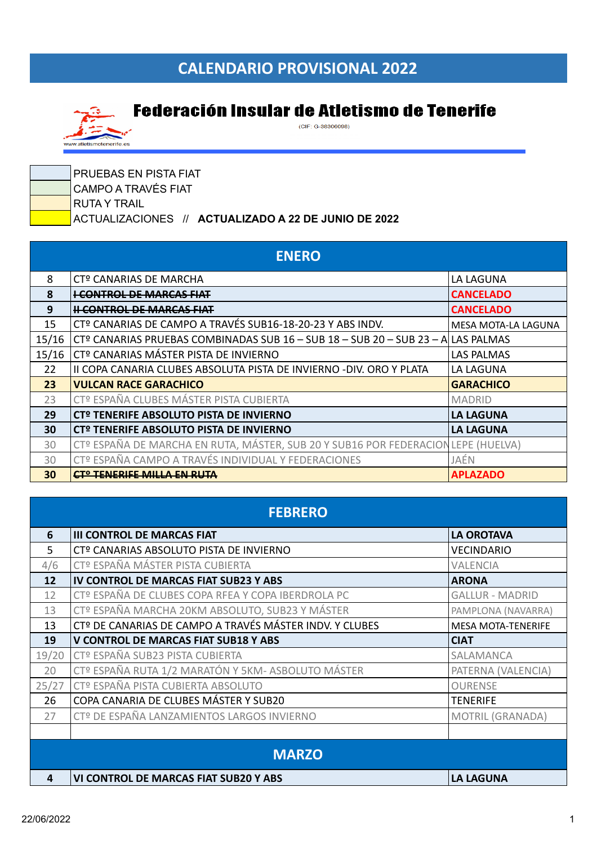## **CALENDARIO PROVISIONAL 2022**



## **Federación Insular de Atletismo de Tenerife**

 $(CIF: G-38306098)$ 

| <b>PRUEBAS EN PISTA FIAT</b>                         |
|------------------------------------------------------|
| CAMPO A TRAVÉS FIAT                                  |
| I RUTA Y TRAIL                                       |
| ACTUALIZACIONES // ACTUALIZADO A 22 DE JUNIO DE 2022 |

| <b>ENERO</b> |                                                                                  |                     |
|--------------|----------------------------------------------------------------------------------|---------------------|
| 8            | CTº CANARIAS DE MARCHA                                                           | LA LAGUNA           |
| 8            | <del>I CONTROL DE MARCAS FIAT</del>                                              | <b>CANCELADO</b>    |
| 9            | <b>H CONTROL DE MARCAS FIAT</b>                                                  | <b>CANCELADO</b>    |
| 15           | CTº CANARIAS DE CAMPO A TRAVÉS SUB16-18-20-23 Y ABS INDV.                        | MESA MOTA-LA LAGUNA |
| 15/16        | CTº CANARIAS PRUEBAS COMBINADAS SUB 16 - SUB 18 - SUB 20 - SUB 23 - A LAS PALMAS |                     |
| 15/16        | CTº CANARIAS MÁSTER PISTA DE INVIERNO                                            | LAS PALMAS          |
| 22           | II COPA CANARIA CLUBES ABSOLUTA PISTA DE INVIERNO -DIV. ORO Y PLATA              | LA LAGUNA           |
| 23           | <b>VULCAN RACE GARACHICO</b>                                                     | <b>GARACHICO</b>    |
| 23           | CTº ESPAÑA CLUBES MÁSTER PISTA CUBIERTA                                          | <b>MADRID</b>       |
| 29           | CTº TENERIFE ABSOLUTO PISTA DE INVIERNO                                          | <b>LA LAGUNA</b>    |
| 30           | CTº TENERIFE ABSOLUTO PISTA DE INVIERNO                                          | <b>LA LAGUNA</b>    |
| 30           | CTº ESPAÑA DE MARCHA EN RUTA, MÁSTER, SUB 20 Y SUB16 POR FEDERACION              | LEPE (HUELVA)       |
| 30           | CTº ESPAÑA CAMPO A TRAVÉS INDIVIDUAL Y FEDERACIONES                              | JAÉN                |
| 30           | <del>CTº TENERIFE MILLA EN RUTA</del>                                            | <b>APLAZADO</b>     |

| <b>FEBRERO</b> |                                                                     |                           |
|----------------|---------------------------------------------------------------------|---------------------------|
| 6              | <b>III CONTROL DE MARCAS FIAT</b>                                   | <b>LA OROTAVA</b>         |
| 5              | CTº CANARIAS ABSOLUTO PISTA DE INVIERNO                             | <b>VECINDARIO</b>         |
| 4/6            | CTº ESPAÑA MÁSTER PISTA CUBIERTA                                    | <b>VALENCIA</b>           |
| 12             | IV CONTROL DE MARCAS FIAT SUB23 Y ABS                               | <b>ARONA</b>              |
| 12             | CTº ESPAÑA DE CLUBES COPA RFEA Y COPA IBERDROLA PC                  | <b>GALLUR - MADRID</b>    |
| 13             | CTº ESPAÑA MARCHA 20KM ABSOLUTO, SUB23 Y MÁSTER                     | PAMPLONA (NAVARRA)        |
| 13             | CT <sup>o</sup> DE CANARIAS DE CAMPO A TRAVÉS MÁSTER INDV. Y CLUBES | <b>MESA MOTA-TENERIFE</b> |
| 19             | <b>V CONTROL DE MARCAS FIAT SUB18 Y ABS</b>                         | <b>CIAT</b>               |
| 19/20          | CTº ESPAÑA SUB23 PISTA CUBIERTA                                     | SALAMANCA                 |
| 20             | CTº ESPAÑA RUTA 1/2 MARATÓN Y 5KM- ASBOLUTO MÁSTER                  | PATERNA (VALENCIA)        |
| 25/27          | CTº ESPAÑA PISTA CUBIERTA ABSOLUTO                                  | <b>OURENSE</b>            |
| 26             | COPA CANARIA DE CLUBES MÁSTER Y SUB20                               | <b>TENERIFE</b>           |
| 27             | CTº DE ESPAÑA LANZAMIENTOS LARGOS INVIERNO                          | MOTRIL (GRANADA)          |
|                |                                                                     |                           |
| <b>MARZO</b>   |                                                                     |                           |
| 4              | <b>VI CONTROL DE MARCAS FIAT SUB20 Y ABS</b>                        | <b>LA LAGUNA</b>          |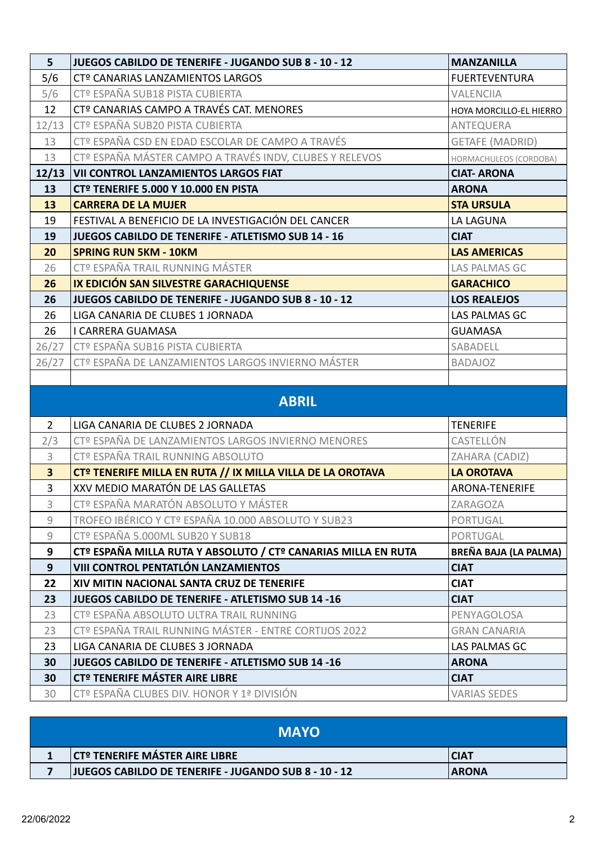| 5                       | JUEGOS CABILDO DE TENERIFE - JUGANDO SUB 8 - 10 - 12          | <b>MANZANILLA</b>       |
|-------------------------|---------------------------------------------------------------|-------------------------|
| 5/6                     | CTº CANARIAS LANZAMIENTOS LARGOS                              | <b>FUERTEVENTURA</b>    |
| 5/6                     | CTº ESPAÑA SUB18 PISTA CUBIERTA                               | <b>VALENCIIA</b>        |
| 12                      | CTº CANARIAS CAMPO A TRAVÉS CAT. MENORES                      | HOYA MORCILLO-EL HIERRO |
| 12/13                   | CTº ESPAÑA SUB20 PISTA CUBIERTA                               | ANTEQUERA               |
| 13                      | CTº ESPAÑA CSD EN EDAD ESCOLAR DE CAMPO A TRAVÉS              | <b>GETAFE (MADRID)</b>  |
| 13                      | CTº ESPAÑA MÁSTER CAMPO A TRAVÉS INDV, CLUBES Y RELEVOS       | HORMACHULEOS (CORDOBA)  |
| 12/13                   | <b>VII CONTROL LANZAMIENTOS LARGOS FIAT</b>                   | <b>CIAT-ARONA</b>       |
| 13                      | <b>CTº TENERIFE 5.000 Y 10.000 EN PISTA</b>                   | <b>ARONA</b>            |
| 13                      | <b>CARRERA DE LA MUJER</b>                                    | <b>STA URSULA</b>       |
| 19                      | FESTIVAL A BENEFICIO DE LA INVESTIGACIÓN DEL CANCER           | LA LAGUNA               |
| 19                      | <b>JUEGOS CABILDO DE TENERIFE - ATLETISMO SUB 14 - 16</b>     | <b>CIAT</b>             |
| 20                      | <b>SPRING RUN 5KM - 10KM</b>                                  | <b>LAS AMERICAS</b>     |
| 26                      | CTº ESPAÑA TRAIL RUNNING MÁSTER                               | LAS PALMAS GC           |
| 26                      | IX EDICIÓN SAN SILVESTRE GARACHIQUENSE                        | <b>GARACHICO</b>        |
| 26                      | JUEGOS CABILDO DE TENERIFE - JUGANDO SUB 8 - 10 - 12          | <b>LOS REALEJOS</b>     |
| 26                      | LIGA CANARIA DE CLUBES 1 JORNADA                              | LAS PALMAS GC           |
| 26                      | I CARRERA GUAMASA                                             | <b>GUAMASA</b>          |
| 26/27                   | CTº ESPAÑA SUB16 PISTA CUBIERTA                               | SABADELL                |
| 26/27                   | CTº ESPAÑA DE LANZAMIENTOS LARGOS INVIERNO MÁSTER             | <b>BADAJOZ</b>          |
|                         |                                                               |                         |
|                         | <b>ABRIL</b>                                                  |                         |
| $\overline{2}$          | LIGA CANARIA DE CLUBES 2 JORNADA                              | <b>TENERIFE</b>         |
| 2/3                     | CTº ESPAÑA DE LANZAMIENTOS LARGOS INVIERNO MENORES            | CASTELLÓN               |
| 3                       | CTº ESPAÑA TRAIL RUNNING ABSOLUTO                             | ZAHARA (CADIZ)          |
| $\overline{\mathbf{3}}$ | CTº TENERIFE MILLA EN RUTA // IX MILLA VILLA DE LA OROTAVA    | <b>LA OROTAVA</b>       |
| $\overline{3}$          | XXV MEDIO MARATÓN DE LAS GALLETAS                             | <b>ARONA-TENERIFE</b>   |
| 3                       | CTº ESPAÑA MARATÓN ABSOLUTO Y MÁSTER                          | ZARAGOZA                |
| 9                       | TROFEO IBÉRICO Y CTº ESPAÑA 10.000 ABSOLUTO Y SUB23           | <b>PORTUGAL</b>         |
| 9                       | CTº ESPAÑA 5.000ML SUB20 Y SUB18                              | PORTUGAL                |
| 9                       | CTº ESPAÑA MILLA RUTA Y ABSOLUTO / CTº CANARIAS MILLA EN RUTA | BREÑA BAJA (LA PALMA)   |
| 9                       | VIII CONTROL PENTATLÓN LANZAMIENTOS                           | <b>CIAT</b>             |
| 22                      | XIV MITIN NACIONAL SANTA CRUZ DE TENERIFE                     | <b>CIAT</b>             |
| 23                      | JUEGOS CABILDO DE TENERIFE - ATLETISMO SUB 14 -16             | <b>CIAT</b>             |
| 23                      | CTº ESPAÑA ABSOLUTO ULTRA TRAIL RUNNING                       | PENYAGOLOSA             |
| 23                      | CTº ESPAÑA TRAIL RUNNING MÁSTER - ENTRE CORTIJOS 2022         | <b>GRAN CANARIA</b>     |
| 23                      | LIGA CANARIA DE CLUBES 3 JORNADA                              | LAS PALMAS GC           |
| 30                      | JUEGOS CABILDO DE TENERIFE - ATLETISMO SUB 14 -16             | <b>ARONA</b>            |
| 30                      | CT <sup>º</sup> TENERIFE MÁSTER AIRE LIBRE                    | <b>CIAT</b>             |
| 30                      | CTº ESPAÑA CLUBES DIV. HONOR Y 1ª DIVISIÓN                    | <b>VARIAS SEDES</b>     |

| <b>MAYO</b> |                                                             |              |
|-------------|-------------------------------------------------------------|--------------|
|             | <b>CT<sup>O</sup> TENERIFE MÁSTER AIRE LIBRE</b>            | CIA1         |
|             | <b>JUEGOS CABILDO DE TENERIFE - JUGANDO SUB 8 - 10 - 12</b> | <b>ARONA</b> |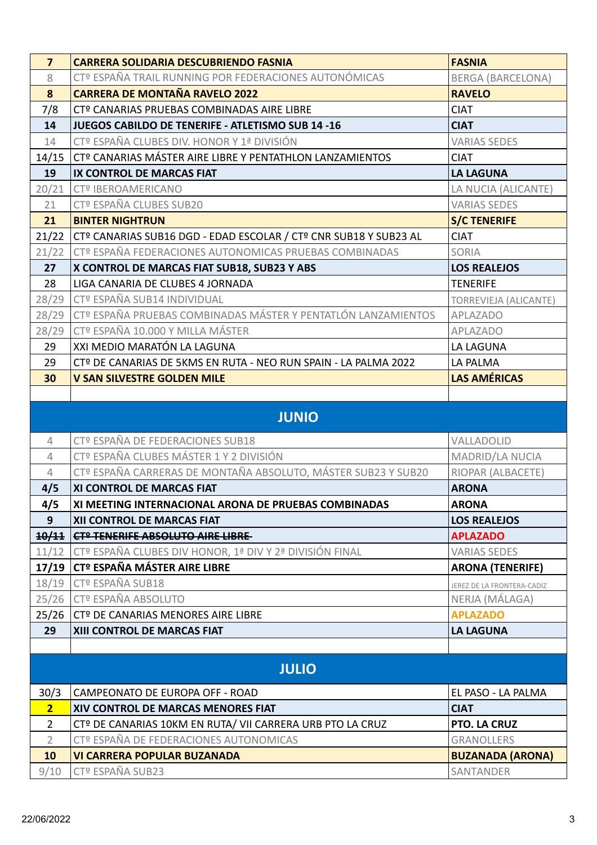| $\overline{7}$ | <b>CARRERA SOLIDARIA DESCUBRIENDO FASNIA</b>                     | <b>FASNIA</b>                |
|----------------|------------------------------------------------------------------|------------------------------|
| 8              | CTº ESPAÑA TRAIL RUNNING POR FEDERACIONES AUTONÓMICAS            | <b>BERGA (BARCELONA)</b>     |
| 8              | <b>CARRERA DE MONTAÑA RAVELO 2022</b>                            | <b>RAVELO</b>                |
| 7/8            | CTº CANARIAS PRUEBAS COMBINADAS AIRE LIBRE                       | <b>CIAT</b>                  |
| 14             | <b>JUEGOS CABILDO DE TENERIFE - ATLETISMO SUB 14-16</b>          | <b>CIAT</b>                  |
| 14             | CTº ESPAÑA CLUBES DIV. HONOR Y 1ª DIVISIÓN                       | <b>VARIAS SEDES</b>          |
| 14/15          | CTº CANARIAS MÁSTER AIRE LIBRE Y PENTATHLON LANZAMIENTOS         | <b>CIAT</b>                  |
| 19             | IX CONTROL DE MARCAS FIAT                                        | <b>LA LAGUNA</b>             |
| 20/21          | CTº IBEROAMERICANO                                               | LA NUCIA (ALICANTE)          |
| 21             | <b>CTº ESPAÑA CLUBES SUB20</b>                                   | <b>VARIAS SEDES</b>          |
| 21             | <b>BINTER NIGHTRUN</b>                                           | <b>S/C TENERIFE</b>          |
| 21/22          | CTº CANARIAS SUB16 DGD - EDAD ESCOLAR / CTº CNR SUB18 Y SUB23 AL | <b>CIAT</b>                  |
| 21/22          | CTº ESPAÑA FEDERACIONES AUTONOMICAS PRUEBAS COMBINADAS           | SORIA                        |
| 27             | X CONTROL DE MARCAS FIAT SUB18, SUB23 Y ABS                      | <b>LOS REALEJOS</b>          |
| 28             | LIGA CANARIA DE CLUBES 4 JORNADA                                 | <b>TENERIFE</b>              |
| 28/29          | CTº ESPAÑA SUB14 INDIVIDUAL                                      | <b>TORREVIEJA (ALICANTE)</b> |
| 28/29          | CTº ESPAÑA PRUEBAS COMBINADAS MÁSTER Y PENTATLÓN LANZAMIENTOS    | APLAZADO                     |
| 28/29          | CTº ESPAÑA 10.000 Y MILLA MÁSTER                                 | APLAZADO                     |
| 29             | XXI MEDIO MARATÓN LA LAGUNA                                      | <b>LA LAGUNA</b>             |
| 29             | CTº DE CANARIAS DE 5KMS EN RUTA - NEO RUN SPAIN - LA PALMA 2022  | LA PALMA                     |
| 30             | <b>V SAN SILVESTRE GOLDEN MILE</b>                               | <b>LAS AMÉRICAS</b>          |
|                |                                                                  |                              |
|                | <b>JUNIO</b>                                                     |                              |
| $\overline{4}$ | CTº ESPAÑA DE FEDERACIONES SUB18                                 | VALLADOLID                   |
| $\overline{4}$ | CTº ESPAÑA CLUBES MÁSTER 1 Y 2 DIVISIÓN                          | MADRID/LA NUCIA              |
| $\overline{4}$ | CTº ESPAÑA CARRERAS DE MONTAÑA ABSOLUTO, MÁSTER SUB23 Y SUB20    | RIOPAR (ALBACETE)            |
| 4/5            | XI CONTROL DE MARCAS FIAT                                        | <b>ARONA</b>                 |
| 4/5            | XI MEETING INTERNACIONAL ARONA DE PRUEBAS COMBINADAS             | <b>ARONA</b>                 |
| 9              | XII CONTROL DE MARCAS FIAT                                       | <b>LOS REALEJOS</b>          |
| 10/11          | <b>CTº TENERIFE ABSOLUTO AIRE LIBRE-</b>                         | <b>APLAZADO</b>              |
| 11/12          | CTº ESPAÑA CLUBES DIV HONOR, 1ª DIV Y 2ª DIVISIÓN FINAL          | <b>VARIAS SEDES</b>          |
| 17/19          | <b>CTº ESPAÑA MÁSTER AIRE LIBRE</b>                              | <b>ARONA (TENERIFE)</b>      |
| 18/19          | CTº ESPAÑA SUB18                                                 | JEREZ DE LA FRONTERA-CADIZ   |
| 25/26          | <b>CTº ESPAÑA ABSOLUTO</b>                                       | NERJA (MÁLAGA)               |
| 25/26          | CTº DE CANARIAS MENORES AIRE LIBRE                               | <b>APLAZADO</b>              |
| 29             | XIII CONTROL DE MARCAS FIAT                                      | <b>LA LAGUNA</b>             |
|                |                                                                  |                              |
|                | <b>JULIO</b>                                                     |                              |
| 30/3           | CAMPEONATO DE EUROPA OFF - ROAD                                  | EL PASO - LA PALMA           |
| $\overline{2}$ | XIV CONTROL DE MARCAS MENORES FIAT                               | <b>CIAT</b>                  |
| $\overline{2}$ | CTº DE CANARIAS 10KM EN RUTA/ VII CARRERA URB PTO LA CRUZ        | PTO. LA CRUZ                 |
| $\overline{2}$ | CTº ESPAÑA DE FEDERACIONES AUTONOMICAS                           | <b>GRANOLLERS</b>            |
| 10             | <b>VI CARRERA POPULAR BUZANADA</b>                               | <b>BUZANADA (ARONA)</b>      |
| 9/10           | CTº ESPAÑA SUB23                                                 | SANTANDER                    |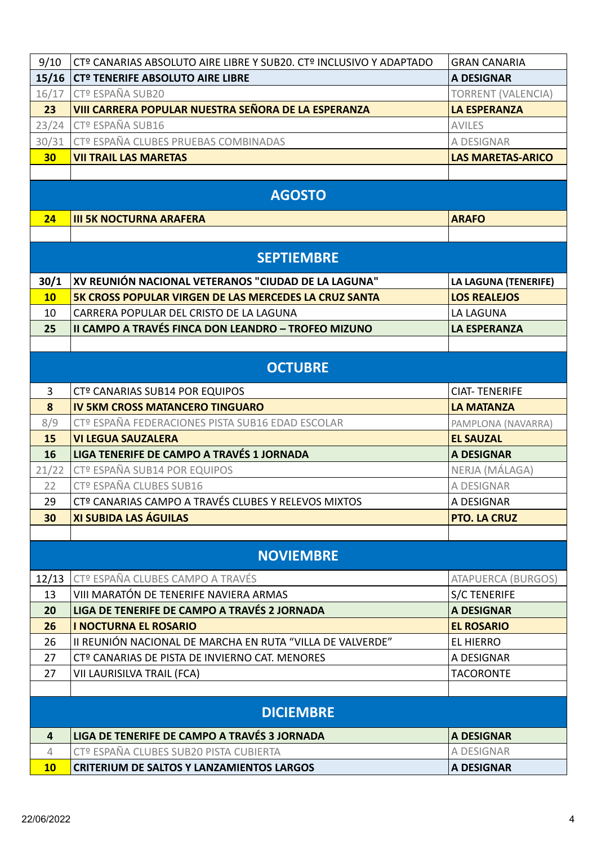| 9/10           | CTº CANARIAS ABSOLUTO AIRE LIBRE Y SUB20. CTº INCLUSIVO Y ADAPTADO | <b>GRAN CANARIA</b>       |
|----------------|--------------------------------------------------------------------|---------------------------|
|                | 15/16   CTº TENERIFE ABSOLUTO AIRE LIBRE                           | <b>A DESIGNAR</b>         |
| 16/17          | CTº ESPAÑA SUB20                                                   | <b>TORRENT (VALENCIA)</b> |
| 23             | VIII CARRERA POPULAR NUESTRA SEÑORA DE LA ESPERANZA                | <b>LA ESPERANZA</b>       |
|                | 23/24 CTº ESPAÑA SUB16                                             | <b>AVILES</b>             |
| 30/31          | CTº ESPAÑA CLUBES PRUEBAS COMBINADAS                               | A DESIGNAR                |
| 30             | <b>VII TRAIL LAS MARETAS</b>                                       | <b>LAS MARETAS-ARICO</b>  |
|                |                                                                    |                           |
|                | <b>AGOSTO</b>                                                      |                           |
| 24             | <b>III 5K NOCTURNA ARAFERA</b>                                     | <b>ARAFO</b>              |
|                |                                                                    |                           |
|                | <b>SEPTIEMBRE</b>                                                  |                           |
| 30/1           | XV REUNIÓN NACIONAL VETERANOS "CIUDAD DE LA LAGUNA"                | LA LAGUNA (TENERIFE)      |
| <b>10</b>      | 5K CROSS POPULAR VIRGEN DE LAS MERCEDES LA CRUZ SANTA              | <b>LOS REALEJOS</b>       |
| 10             | CARRERA POPULAR DEL CRISTO DE LA LAGUNA                            | LA LAGUNA                 |
| 25             | II CAMPO A TRAVÉS FINCA DON LEANDRO - TROFEO MIZUNO                | <b>LA ESPERANZA</b>       |
|                |                                                                    |                           |
|                | <b>OCTUBRE</b>                                                     |                           |
| 3              | CTº CANARIAS SUB14 POR EQUIPOS                                     | <b>CIAT-TENERIFE</b>      |
| 8              | <b>IV 5KM CROSS MATANCERO TINGUARO</b>                             | <b>LA MATANZA</b>         |
| 8/9            | CTº ESPAÑA FEDERACIONES PISTA SUB16 EDAD ESCOLAR                   | PAMPLONA (NAVARRA)        |
| 15             | <b>VI LEGUA SAUZALERA</b>                                          | <b>EL SAUZAL</b>          |
| 16             | LIGA TENERIFE DE CAMPO A TRAVÉS 1 JORNADA                          | <b>A DESIGNAR</b>         |
| 21/22          | CTº ESPAÑA SUB14 POR EQUIPOS                                       | NERJA (MÁLAGA)            |
| 22             | CTº ESPAÑA CLUBES SUB16                                            | A DESIGNAR                |
| 29             | CTº CANARIAS CAMPO A TRAVÉS CLUBES Y RELEVOS MIXTOS                | A DESIGNAR                |
| 30             | <b>XI SUBIDA LAS ÁGUILAS</b>                                       | <b>PTO. LA CRUZ</b>       |
|                |                                                                    |                           |
|                | <b>NOVIEMBRE</b>                                                   |                           |
| 12/13          | CTº ESPAÑA CLUBES CAMPO A TRAVÉS                                   | <b>ATAPUERCA (BURGOS)</b> |
| 13             | VIII MARATÓN DE TENERIFE NAVIERA ARMAS                             | <b>S/C TENERIFE</b>       |
| 20             | LIGA DE TENERIFE DE CAMPO A TRAVÉS 2 JORNADA                       | <b>A DESIGNAR</b>         |
| 26             | <b>I NOCTURNA EL ROSARIO</b>                                       | <b>EL ROSARIO</b>         |
| 26             | II REUNIÓN NACIONAL DE MARCHA EN RUTA "VILLA DE VALVERDE"          | <b>EL HIERRO</b>          |
| 27             | CTº CANARIAS DE PISTA DE INVIERNO CAT. MENORES                     | A DESIGNAR                |
| 27             | VII LAURISILVA TRAIL (FCA)                                         | <b>TACORONTE</b>          |
|                |                                                                    |                           |
|                | <b>DICIEMBRE</b>                                                   |                           |
| 4              | LIGA DE TENERIFE DE CAMPO A TRAVÉS 3 JORNADA                       | <b>A DESIGNAR</b>         |
| $\overline{4}$ | CTº ESPAÑA CLUBES SUB20 PISTA CUBIERTA                             | A DESIGNAR                |
| 10             | <b>CRITERIUM DE SALTOS Y LANZAMIENTOS LARGOS</b>                   | <b>A DESIGNAR</b>         |